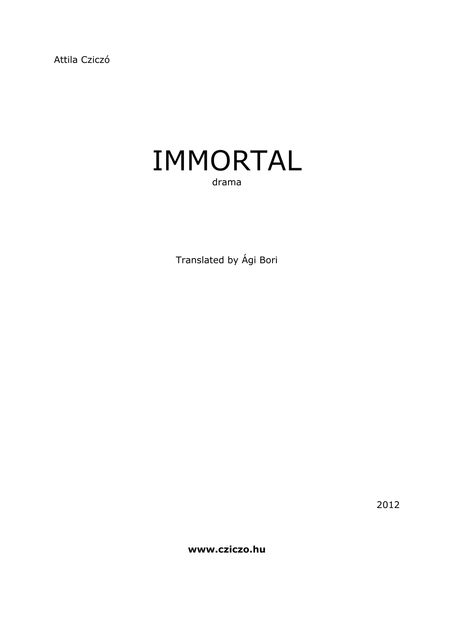Attila Cziczó



Translated by Ági Bori

2012

**www.cziczo.hu**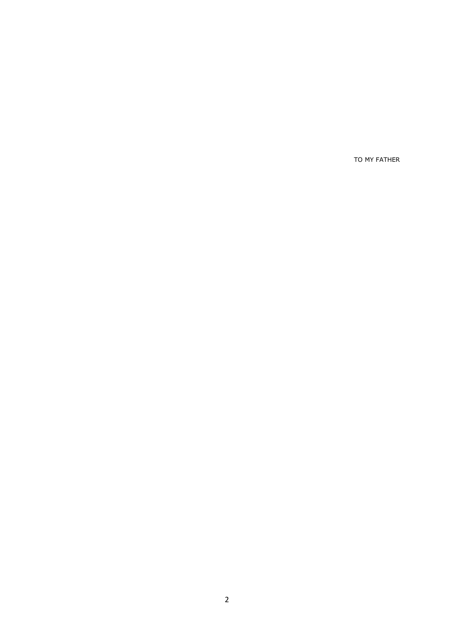TO MY FATHER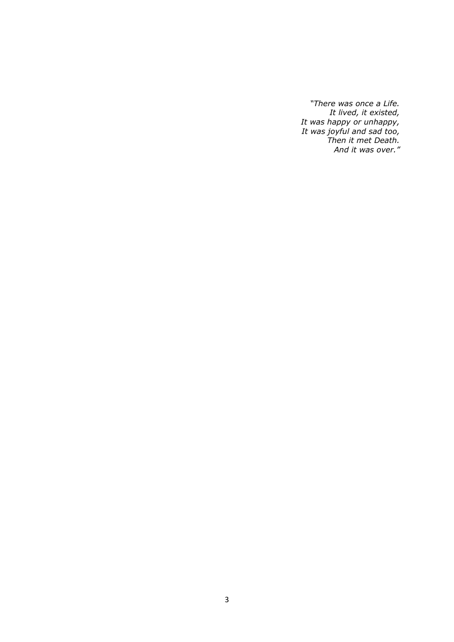*"There was once a Life. It lived, it existed, It was happy or unhappy, It was joyful and sad too, Then it met Death. And it was over."*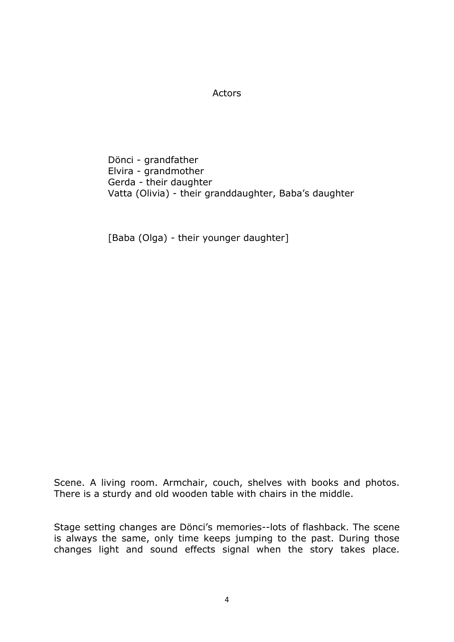### Actors

Dönci - grandfather Elvira - grandmother Gerda - their daughter Vatta (Olivia) - their granddaughter, Baba's daughter

[Baba (Olga) - their younger daughter]

Scene. A living room. Armchair, couch, shelves with books and photos. There is a sturdy and old wooden table with chairs in the middle.

Stage setting changes are Dönci's memories--lots of flashback. The scene is always the same, only time keeps jumping to the past. During those changes light and sound effects signal when the story takes place.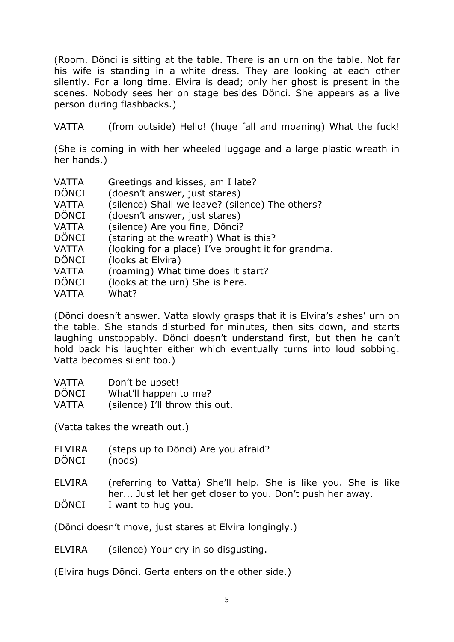(Room. Dönci is sitting at the table. There is an urn on the table. Not far his wife is standing in a white dress. They are looking at each other silently. For a long time. Elvira is dead; only her ghost is present in the scenes. Nobody sees her on stage besides Dönci. She appears as a live person during flashbacks.)

VATTA (from outside) Hello! (huge fall and moaning) What the fuck!

(She is coming in with her wheeled luggage and a large plastic wreath in her hands.)

- VATTA Greetings and kisses, am I late?
- DÖNCI (doesn't answer, just stares)
- VATTA (silence) Shall we leave? (silence) The others?
- DÖNCI (doesn't answer, just stares)
- VATTA (silence) Are you fine, Dönci?
- DÖNCI (staring at the wreath) What is this?
- VATTA (looking for a place) I've brought it for grandma.
- DÖNCI (looks at Elvira)
- VATTA (roaming) What time does it start?
- DÖNCI (looks at the urn) She is here.
- VATTA What?

(Dönci doesn't answer. Vatta slowly grasps that it is Elvira's ashes' urn on the table. She stands disturbed for minutes, then sits down, and starts laughing unstoppably. Dönci doesn't understand first, but then he can't hold back his laughter either which eventually turns into loud sobbing. Vatta becomes silent too.)

- VATTA Don't be upset!
- DÖNCI What'll happen to me?
- VATTA (silence) I'll throw this out.

(Vatta takes the wreath out.)

ELVIRA (steps up to Dönci) Are you afraid? DÖNCI (nods)

ELVIRA (referring to Vatta) She'll help. She is like you. She is like her... Just let her get closer to you. Don't push her away.

DÖNCI I want to hug you.

(Dönci doesn't move, just stares at Elvira longingly.)

ELVIRA (silence) Your cry in so disgusting.

(Elvira hugs Dönci. Gerta enters on the other side.)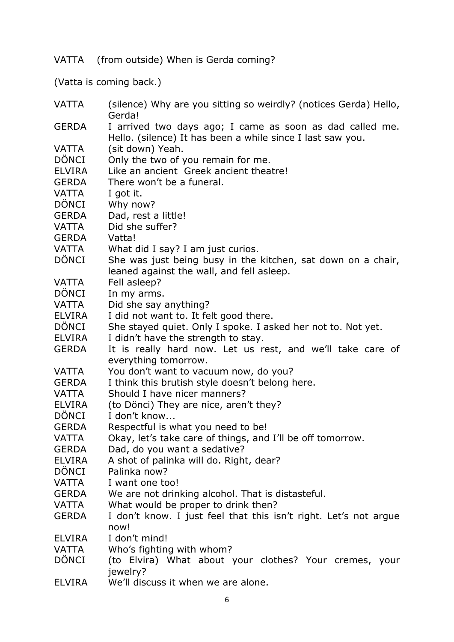VATTA (from outside) When is Gerda coming?

(Vatta is coming back.)

| <b>VATTA</b>  | (silence) Why are you sitting so weirdly? (notices Gerda) Hello,<br>Gerda!                                             |
|---------------|------------------------------------------------------------------------------------------------------------------------|
| <b>GERDA</b>  | I arrived two days ago; I came as soon as dad called me.<br>Hello. (silence) It has been a while since I last saw you. |
| <b>VATTA</b>  | (sit down) Yeah.                                                                                                       |
| <b>DÖNCI</b>  | Only the two of you remain for me.                                                                                     |
| <b>ELVIRA</b> | Like an ancient Greek ancient theatre!                                                                                 |
| <b>GERDA</b>  | There won't be a funeral.                                                                                              |
| <b>VATTA</b>  | I got it.                                                                                                              |
| <b>DÖNCI</b>  | Why now?                                                                                                               |
| <b>GERDA</b>  | Dad, rest a little!                                                                                                    |
| VATTA         | Did she suffer?                                                                                                        |
| <b>GERDA</b>  | Vatta!                                                                                                                 |
| VATTA         | What did I say? I am just curios.                                                                                      |
| <b>DÖNCI</b>  | She was just being busy in the kitchen, sat down on a chair,                                                           |
|               | leaned against the wall, and fell asleep.                                                                              |
| <b>VATTA</b>  | Fell asleep?                                                                                                           |
| <b>DÖNCI</b>  | In my arms.                                                                                                            |
| <b>VATTA</b>  | Did she say anything?                                                                                                  |
| <b>ELVIRA</b> | I did not want to. It felt good there.                                                                                 |
| <b>DÖNCI</b>  | She stayed quiet. Only I spoke. I asked her not to. Not yet.                                                           |
| <b>ELVIRA</b> | I didn't have the strength to stay.                                                                                    |
| <b>GERDA</b>  | It is really hard now. Let us rest, and we'll take care of                                                             |
|               | everything tomorrow.                                                                                                   |
| VATTA         | You don't want to vacuum now, do you?                                                                                  |
| <b>GERDA</b>  | I think this brutish style doesn't belong here.                                                                        |
| VATTA         | Should I have nicer manners?                                                                                           |
| <b>ELVIRA</b> | (to Dönci) They are nice, aren't they?                                                                                 |
| <b>DÖNCI</b>  | I don't know                                                                                                           |
| <b>GERDA</b>  | Respectful is what you need to be!                                                                                     |
| <b>VATTA</b>  | Okay, let's take care of things, and I'll be off tomorrow.                                                             |
| <b>GERDA</b>  | Dad, do you want a sedative?                                                                                           |
| <b>ELVIRA</b> | A shot of palinka will do. Right, dear?                                                                                |
| <b>DÖNCI</b>  | Palinka now?                                                                                                           |
| <b>VATTA</b>  | I want one too!                                                                                                        |
| <b>GERDA</b>  | We are not drinking alcohol. That is distasteful.                                                                      |
| <b>VATTA</b>  | What would be proper to drink then?                                                                                    |
| <b>GERDA</b>  | I don't know. I just feel that this isn't right. Let's not argue                                                       |
|               | now!                                                                                                                   |
| <b>ELVIRA</b> | I don't mind!                                                                                                          |
| VATTA         | Who's fighting with whom?                                                                                              |
| DÖNCI         | (to Elvira) What about your clothes? Your cremes, your                                                                 |
|               | jewelry?                                                                                                               |

ELVIRA We'll discuss it when we are alone.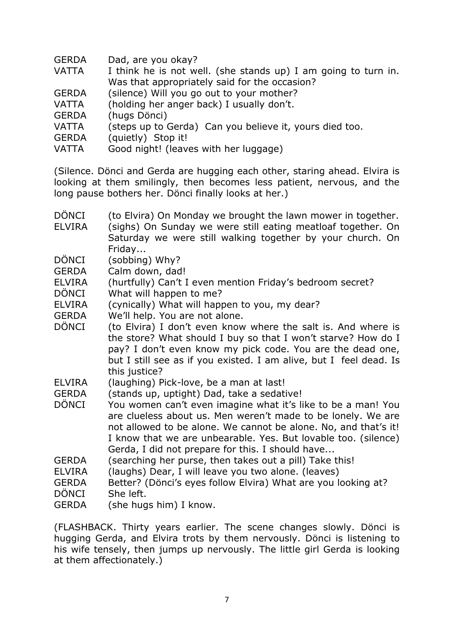- GERDA Dad, are you okay?
- VATTA I think he is not well. (she stands up) I am going to turn in. Was that appropriately said for the occasion?
- GERDA (silence) Will you go out to your mother?
- VATTA (holding her anger back) I usually don't.
- GERDA (hugs Dönci)

VATTA (steps up to Gerda) Can you believe it, yours died too.

- GERDA (quietly) Stop it!
- VATTA Good night! (leaves with her luggage)

(Silence. Dönci and Gerda are hugging each other, staring ahead. Elvira is looking at them smilingly, then becomes less patient, nervous, and the long pause bothers her. Dönci finally looks at her.)

- DÖNCI (to Elvira) On Monday we brought the lawn mower in together.
- ELVIRA (sighs) On Sunday we were still eating meatloaf together. On Saturday we were still walking together by your church. On Friday...
- DÖNCI (sobbing) Why?
- GERDA Calm down, dad!
- ELVIRA (hurtfully) Can't I even mention Friday's bedroom secret?
- DÖNCI What will happen to me?
- ELVIRA (cynically) What will happen to you, my dear?
- GERDA We'll help. You are not alone.
- DÖNCI (to Elvira) I don't even know where the salt is. And where is the store? What should I buy so that I won't starve? How do I pay? I don't even know my pick code. You are the dead one, but I still see as if you existed. I am alive, but I feel dead. Is this justice?
- ELVIRA (laughing) Pick-love, be a man at last!
- GERDA (stands up, uptight) Dad, take a sedative!
- DÖNCI You women can't even imagine what it's like to be a man! You are clueless about us. Men weren't made to be lonely. We are not allowed to be alone. We cannot be alone. No, and that's it! I know that we are unbearable. Yes. But lovable too. (silence) Gerda, I did not prepare for this. I should have...
- GERDA (searching her purse, then takes out a pill) Take this!
- ELVIRA (laughs) Dear, I will leave you two alone. (leaves)
- GERDA Better? (Dönci's eyes follow Elvira) What are you looking at?
- DÖNCI She left.
- GERDA (she hugs him) I know.

(FLASHBACK. Thirty years earlier. The scene changes slowly. Dönci is hugging Gerda, and Elvira trots by them nervously. Dönci is listening to his wife tensely, then jumps up nervously. The little girl Gerda is looking at them affectionately.)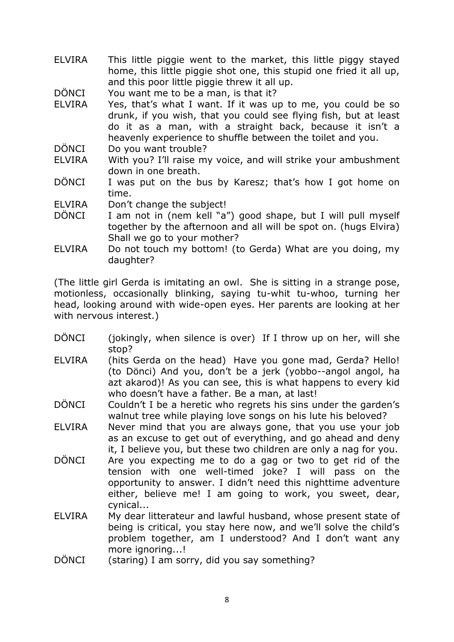- ELVIRA This little piggie went to the market, this little piggy stayed home, this little piggie shot one, this stupid one fried it all up, and this poor little piggie threw it all up.
- DÖNCI You want me to be a man, is that it?
- ELVIRA Yes, that's what I want. If it was up to me, you could be so drunk, if you wish, that you could see flying fish, but at least do it as a man, with a straight back, because it isn't a heavenly experience to shuffle between the toilet and you.
- DÖNCI Do you want trouble?
- ELVIRA With you? I'll raise my voice, and will strike your ambushment down in one breath.
- DÖNCI I was put on the bus by Karesz; that's how I got home on time.
- ELVIRA Don't change the subject!
- DÖNCI I am not in (nem kell "a") good shape, but I will pull myself together by the afternoon and all will be spot on. (hugs Elvira) Shall we go to your mother?
- ELVIRA Do not touch my bottom! (to Gerda) What are you doing, my daughter?

(The little girl Gerda is imitating an owl. She is sitting in a strange pose, motionless, occasionally blinking, saying tu-whit tu-whoo, turning her head, looking around with wide-open eyes. Her parents are looking at her with nervous interest.)

- DÖNCI (jokingly, when silence is over) If I throw up on her, will she stop?
- ELVIRA (hits Gerda on the head) Have you gone mad, Gerda? Hello! (to Dönci) And you, don't be a jerk (yobbo--angol angol, ha azt akarod)! As you can see, this is what happens to every kid who doesn't have a father. Be a man, at last!
- DÖNCI Couldn't I be a heretic who regrets his sins under the garden's walnut tree while playing love songs on his lute his beloved?
- ELVIRA Never mind that you are always gone, that you use your job as an excuse to get out of everything, and go ahead and deny it, I believe you, but these two children are only a nag for you.
- DÖNCI Are you expecting me to do a gag or two to get rid of the tension with one well-timed joke? I will pass on the opportunity to answer. I didn't need this nighttime adventure either, believe me! I am going to work, you sweet, dear, cynical...
- ELVIRA My dear litterateur and lawful husband, whose present state of being is critical, you stay here now, and we'll solve the child's problem together, am I understood? And I don't want any more ignoring...!
- DÖNCI (staring) I am sorry, did you say something?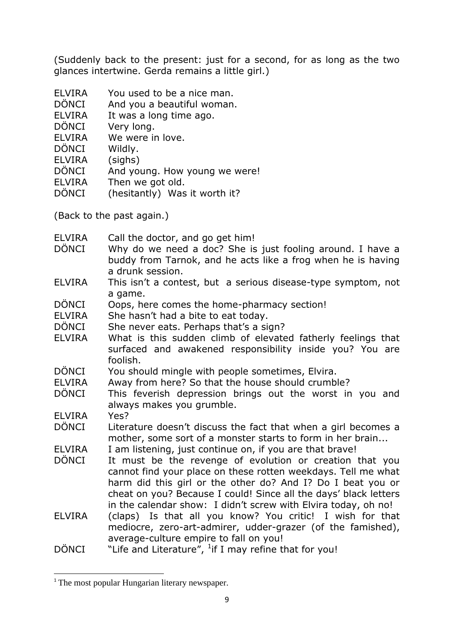(Suddenly back to the present: just for a second, for as long as the two glances intertwine. Gerda remains a little girl.)

- ELVIRA You used to be a nice man.
- DÖNCI And you a beautiful woman.
- ELVIRA It was a long time ago.
- DÖNCI Very long.
- ELVIRA We were in love.
- DÖNCI Wildly.
- ELVIRA (sighs)
- DÖNCI And young. How young we were!
- ELVIRA Then we got old.
- DÖNCI (hesitantly) Was it worth it?

(Back to the past again.)

- ELVIRA Call the doctor, and go get him!
- DÖNCI Why do we need a doc? She is just fooling around. I have a buddy from Tarnok, and he acts like a frog when he is having a drunk session.
- ELVIRA This isn't a contest, but a serious disease-type symptom, not a game.
- DÖNCI Oops, here comes the home-pharmacy section!
- ELVIRA She hasn't had a bite to eat today.
- DÖNCI She never eats. Perhaps that's a sign?
- ELVIRA What is this sudden climb of elevated fatherly feelings that surfaced and awakened responsibility inside you? You are foolish.
- DÖNCI You should mingle with people sometimes, Elvira.
- ELVIRA Away from here? So that the house should crumble?
- DÖNCI This feverish depression brings out the worst in you and always makes you grumble.
- ELVIRA Yes?

**.** 

- DÖNCI Literature doesn't discuss the fact that when a girl becomes a mother, some sort of a monster starts to form in her brain...
- ELVIRA I am listening, just continue on, if you are that brave!
- DÖNCI It must be the revenge of evolution or creation that you cannot find your place on these rotten weekdays. Tell me what harm did this girl or the other do? And I? Do I beat you or cheat on you? Because I could! Since all the days' black letters in the calendar show: I didn't screw with Elvira today, oh no!
- ELVIRA (claps) Is that all you know? You critic! I wish for that mediocre, zero-art-admirer, udder-grazer (of the famished), average-culture empire to fall on you!
- $D\ddot{\text{O}}$  NCI  $\blacksquare$  "Life and Literature",  $\frac{1}{1}$  if I may refine that for you!

<sup>&</sup>lt;sup>1</sup> The most popular Hungarian literary newspaper.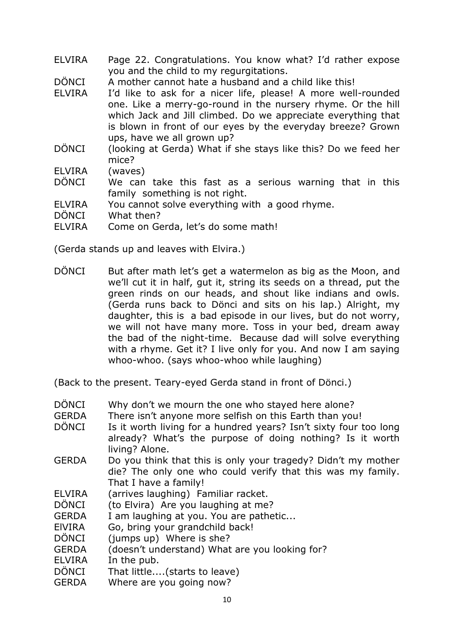- ELVIRA Page 22. Congratulations. You know what? I'd rather expose you and the child to my regurgitations.
- DÖNCI A mother cannot hate a husband and a child like this!
- ELVIRA I'd like to ask for a nicer life, please! A more well-rounded one. Like a merry-go-round in the nursery rhyme. Or the hill which Jack and Jill climbed. Do we appreciate everything that is blown in front of our eyes by the everyday breeze? Grown ups, have we all grown up?
- DÖNCI (looking at Gerda) What if she stays like this? Do we feed her mice?

ELVIRA (waves)

- DÖNCI We can take this fast as a serious warning that in this family something is not right.
- ELVIRA You cannot solve everything with a good rhyme.
- DÖNCI What then?
- ELVIRA Come on Gerda, let's do some math!

(Gerda stands up and leaves with Elvira.)

DÖNCI But after math let's get a watermelon as big as the Moon, and we'll cut it in half, gut it, string its seeds on a thread, put the green rinds on our heads, and shout like indians and owls. (Gerda runs back to Dönci and sits on his lap.) Alright, my daughter, this is a bad episode in our lives, but do not worry, we will not have many more. Toss in your bed, dream away the bad of the night-time. Because dad will solve everything with a rhyme. Get it? I live only for you. And now I am saying whoo-whoo. (says whoo-whoo while laughing)

(Back to the present. Teary-eyed Gerda stand in front of Dönci.)

- DÖNCI Why don't we mourn the one who stayed here alone?
- GERDA There isn't anyone more selfish on this Earth than you!
- DÖNCI Is it worth living for a hundred years? Isn't sixty four too long already? What's the purpose of doing nothing? Is it worth living? Alone.
- GERDA Do you think that this is only your tragedy? Didn't my mother die? The only one who could verify that this was my family. That I have a family!
- ELVIRA (arrives laughing) Familiar racket.
- DÖNCI (to Elvira) Are you laughing at me?
- GERDA I am laughing at you. You are pathetic...
- ElVIRA Go, bring your grandchild back!
- DÖNCI (jumps up) Where is she?
- GERDA (doesn't understand) What are you looking for?
- ELVIRA In the pub.
- DÖNCI That little....(starts to leave)
- GERDA Where are you going now?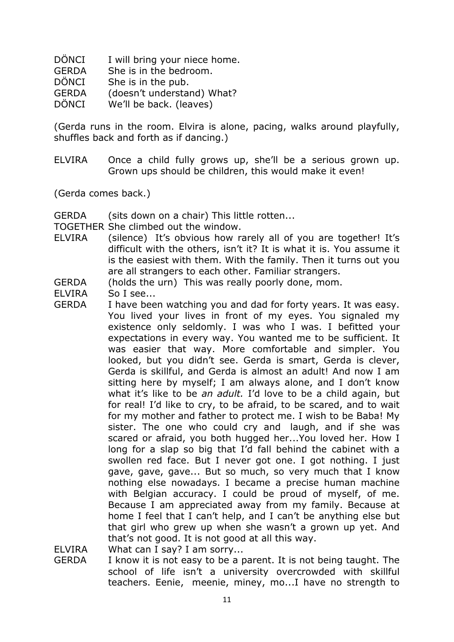- DÖNCI I will bring your niece home.
- GERDA She is in the bedroom.
- DÖNCI She is in the pub.
- GERDA (doesn't understand) What?
- DÖNCI We'll be back. (leaves)

(Gerda runs in the room. Elvira is alone, pacing, walks around playfully, shuffles back and forth as if dancing.)

- ELVIRA Once a child fully grows up, she'll be a serious grown up. Grown ups should be children, this would make it even!
- (Gerda comes back.)

GERDA (sits down on a chair) This little rotten...

TOGETHER She climbed out the window.

- ELVIRA (silence) It's obvious how rarely all of you are together! It's difficult with the others, isn't it? It is what it is. You assume it is the easiest with them. With the family. Then it turns out you are all strangers to each other. Familiar strangers.
- GERDA (holds the urn) This was really poorly done, mom.
- ELVIRA So I see...
- GERDA I have been watching you and dad for forty years. It was easy. You lived your lives in front of my eyes. You signaled my existence only seldomly. I was who I was. I befitted your expectations in every way. You wanted me to be sufficient. It was easier that way. More comfortable and simpler. You looked, but you didn't see. Gerda is smart, Gerda is clever, Gerda is skillful, and Gerda is almost an adult! And now I am sitting here by myself; I am always alone, and I don't know what it's like to be *an adult.* I'd love to be a child again, but for real! I'd like to cry, to be afraid, to be scared, and to wait for my mother and father to protect me. I wish to be Baba! My sister. The one who could cry and laugh, and if she was scared or afraid, you both hugged her...You loved her. How I long for a slap so big that I'd fall behind the cabinet with a swollen red face. But I never got one. I got nothing. I just gave, gave, gave... But so much, so very much that I know nothing else nowadays. I became a precise human machine with Belgian accuracy. I could be proud of myself, of me. Because I am appreciated away from my family. Because at home I feel that I can't help, and I can't be anything else but that girl who grew up when she wasn't a grown up yet. And that's not good. It is not good at all this way.

ELVIRA What can I say? I am sorry...

GERDA I know it is not easy to be a parent. It is not being taught. The school of life isn't a university overcrowded with skillful teachers. Eenie, meenie, miney, mo...I have no strength to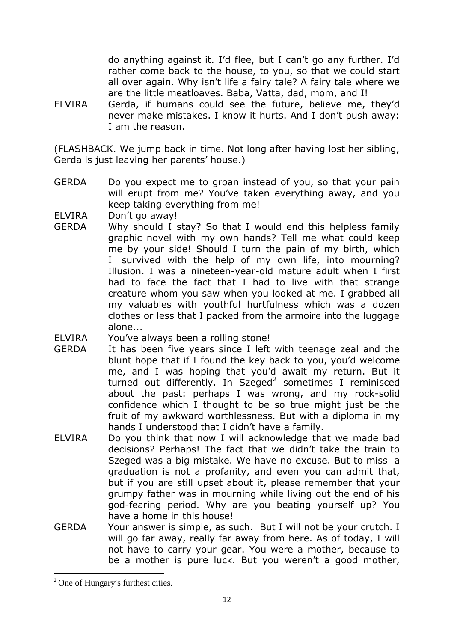do anything against it. I'd flee, but I can't go any further. I'd rather come back to the house, to you, so that we could start all over again. Why isn't life a fairy tale? A fairy tale where we are the little meatloaves. Baba, Vatta, dad, mom, and I!

ELVIRA Gerda, if humans could see the future, believe me, they'd never make mistakes. I know it hurts. And I don't push away: I am the reason.

(FLASHBACK. We jump back in time. Not long after having lost her sibling, Gerda is just leaving her parents' house.)

GERDA Do you expect me to groan instead of you, so that your pain will erupt from me? You've taken everything away, and you keep taking everything from me!

ELVIRA Don't go away!

GERDA Why should I stay? So that I would end this helpless family graphic novel with my own hands? Tell me what could keep me by your side! Should I turn the pain of my birth, which I survived with the help of my own life, into mourning? Illusion. I was a nineteen-year-old mature adult when I first had to face the fact that I had to live with that strange creature whom you saw when you looked at me. I grabbed all my valuables with youthful hurtfulness which was a dozen clothes or less that I packed from the armoire into the luggage alone...

ELVIRA You've always been a rolling stone!

- GERDA It has been five years since I left with teenage zeal and the blunt hope that if I found the key back to you, you'd welcome me, and I was hoping that you'd await my return. But it turned out differently. In Szeged<sup>2</sup> sometimes I reminisced about the past: perhaps I was wrong, and my rock-solid confidence which I thought to be so true might just be the fruit of my awkward worthlessness. But with a diploma in my hands I understood that I didn't have a family.
- ELVIRA Do you think that now I will acknowledge that we made bad decisions? Perhaps! The fact that we didn't take the train to Szeged was a big mistake. We have no excuse. But to miss a graduation is not a profanity, and even you can admit that, but if you are still upset about it, please remember that your grumpy father was in mourning while living out the end of his god-fearing period. Why are you beating yourself up? You have a home in this house!
- GERDA Your answer is simple, as such. But I will not be your crutch. I will go far away, really far away from here. As of today, I will not have to carry your gear. You were a mother, because to be a mother is pure luck. But you weren't a good mother,

**.** 

<sup>&</sup>lt;sup>2</sup> One of Hungary's furthest cities.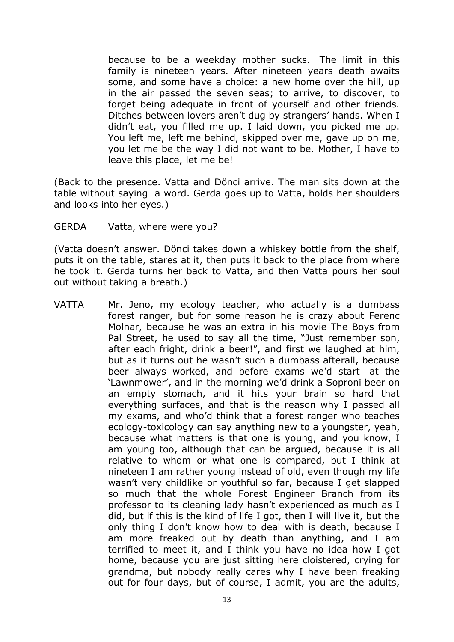because to be a weekday mother sucks. The limit in this family is nineteen years. After nineteen years death awaits some, and some have a choice: a new home over the hill, up in the air passed the seven seas; to arrive, to discover, to forget being adequate in front of yourself and other friends. Ditches between lovers aren't dug by strangers' hands. When I didn't eat, you filled me up. I laid down, you picked me up. You left me, left me behind, skipped over me, gave up on me, you let me be the way I did not want to be. Mother, I have to leave this place, let me be!

(Back to the presence. Vatta and Dönci arrive. The man sits down at the table without saying a word. Gerda goes up to Vatta, holds her shoulders and looks into her eyes.)

GERDA Vatta, where were you?

(Vatta doesn't answer. Dönci takes down a whiskey bottle from the shelf, puts it on the table, stares at it, then puts it back to the place from where he took it. Gerda turns her back to Vatta, and then Vatta pours her soul out without taking a breath.)

VATTA Mr. Jeno, my ecology teacher, who actually is a dumbass forest ranger, but for some reason he is crazy about Ferenc Molnar, because he was an extra in his movie The Boys from Pal Street, he used to say all the time, "Just remember son, after each fright, drink a beer!", and first we laughed at him, but as it turns out he wasn't such a dumbass afterall, because beer always worked, and before exams we'd start at the 'Lawnmower', and in the morning we'd drink a Soproni beer on an empty stomach, and it hits your brain so hard that everything surfaces, and that is the reason why I passed all my exams, and who'd think that a forest ranger who teaches ecology-toxicology can say anything new to a youngster, yeah, because what matters is that one is young, and you know, I am young too, although that can be argued, because it is all relative to whom or what one is compared, but I think at nineteen I am rather young instead of old, even though my life wasn't very childlike or youthful so far, because I get slapped so much that the whole Forest Engineer Branch from its professor to its cleaning lady hasn't experienced as much as I did, but if this is the kind of life I got, then I will live it, but the only thing I don't know how to deal with is death, because I am more freaked out by death than anything, and I am terrified to meet it, and I think you have no idea how I got home, because you are just sitting here cloistered, crying for grandma, but nobody really cares why I have been freaking out for four days, but of course, I admit, you are the adults,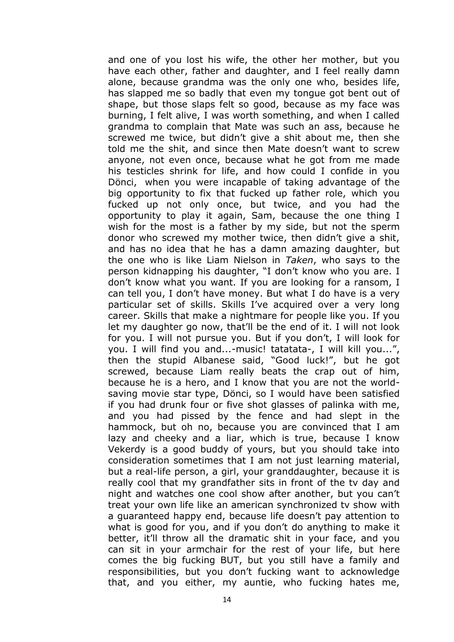and one of you lost his wife, the other her mother, but you have each other, father and daughter, and I feel really damn alone, because grandma was the only one who, besides life, has slapped me so badly that even my tongue got bent out of shape, but those slaps felt so good, because as my face was burning, I felt alive, I was worth something, and when I called grandma to complain that Mate was such an ass, because he screwed me twice, but didn't give a shit about me, then she told me the shit, and since then Mate doesn't want to screw anyone, not even once, because what he got from me made his testicles shrink for life, and how could I confide in you Dönci, when you were incapable of taking advantage of the big opportunity to fix that fucked up father role, which you fucked up not only once, but twice, and you had the opportunity to play it again, Sam, because the one thing I wish for the most is a father by my side, but not the sperm donor who screwed my mother twice, then didn't give a shit, and has no idea that he has a damn amazing daughter, but the one who is like Liam Nielson in *Taken*, who says to the person kidnapping his daughter, "I don't know who you are. I don't know what you want. If you are looking for a ransom, I can tell you, I don't have money. But what I do have is a very particular set of skills. Skills I've acquired over a very long career. Skills that make a nightmare for people like you. If you let my daughter go now, that'll be the end of it. I will not look for you. I will not pursue you. But if you don't, I will look for you. I will find you and...-music! tatatata-, I will kill you...", then the stupid Albanese said, "Good luck!", but he got screwed, because Liam really beats the crap out of him, because he is a hero, and I know that you are not the worldsaving movie star type, Dönci, so I would have been satisfied if you had drunk four or five shot glasses of palinka with me, and you had pissed by the fence and had slept in the hammock, but oh no, because you are convinced that I am lazy and cheeky and a liar, which is true, because I know Vekerdy is a good buddy of yours, but you should take into consideration sometimes that I am not just learning material, but a real-life person, a girl, your granddaughter, because it is really cool that my grandfather sits in front of the tv day and night and watches one cool show after another, but you can't treat your own life like an american synchronized tv show with a guaranteed happy end, because life doesn't pay attention to what is good for you, and if you don't do anything to make it better, it'll throw all the dramatic shit in your face, and you can sit in your armchair for the rest of your life, but here comes the big fucking BUT, but you still have a family and responsibilities, but you don't fucking want to acknowledge that, and you either, my auntie, who fucking hates me,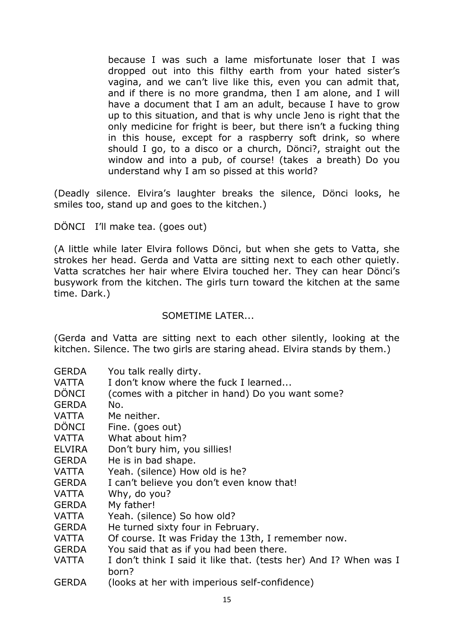because I was such a lame misfortunate loser that I was dropped out into this filthy earth from your hated sister's vagina, and we can't live like this, even you can admit that, and if there is no more grandma, then I am alone, and I will have a document that I am an adult, because I have to grow up to this situation, and that is why uncle Jeno is right that the only medicine for fright is beer, but there isn't a fucking thing in this house, except for a raspberry soft drink, so where should I go, to a disco or a church, Dönci?, straight out the window and into a pub, of course! (takes a breath) Do you understand why I am so pissed at this world?

(Deadly silence. Elvira's laughter breaks the silence, Dönci looks, he smiles too, stand up and goes to the kitchen.)

DÖNCI I'll make tea. (goes out)

(A little while later Elvira follows Dönci, but when she gets to Vatta, she strokes her head. Gerda and Vatta are sitting next to each other quietly. Vatta scratches her hair where Elvira touched her. They can hear Dönci's busywork from the kitchen. The girls turn toward the kitchen at the same time. Dark.)

# SOMETIME LATER...

(Gerda and Vatta are sitting next to each other silently, looking at the kitchen. Silence. The two girls are staring ahead. Elvira stands by them.)

- GERDA You talk really dirty.
- VATTA I don't know where the fuck I learned...
- DÖNCI (comes with a pitcher in hand) Do you want some?
- GERDA No.
- VATTA Me neither.
- DÖNCI Fine. (goes out)
- VATTA What about him?
- ELVIRA Don't bury him, you sillies!
- GERDA He is in bad shape.
- VATTA Yeah. (silence) How old is he?
- GERDA I can't believe you don't even know that!
- VATTA Why, do you?
- GERDA My father!
- VATTA Yeah. (silence) So how old?
- GERDA He turned sixty four in February.
- VATTA Of course. It was Friday the 13th, I remember now.
- GERDA You said that as if you had been there.
- VATTA I don't think I said it like that. (tests her) And I? When was I born?
- GERDA (looks at her with imperious self-confidence)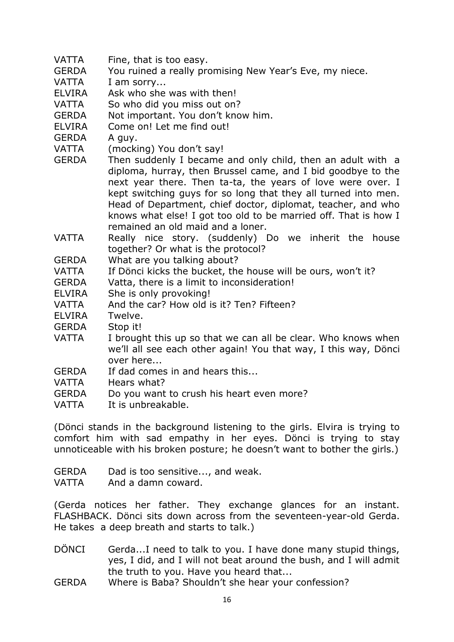- VATTA Fine, that is too easy.
- GERDA You ruined a really promising New Year's Eve, my niece.
- VATTA I am sorry...
- ELVIRA Ask who she was with then!
- VATTA So who did you miss out on?
- GERDA Not important. You don't know him.
- ELVIRA Come on! Let me find out!
- GERDA A guy.
- VATTA (mocking) You don't say!
- GERDA Then suddenly I became and only child, then an adult with a diploma, hurray, then Brussel came, and I bid goodbye to the next year there. Then ta-ta, the years of love were over. I kept switching guys for so long that they all turned into men. Head of Department, chief doctor, diplomat, teacher, and who knows what else! I got too old to be married off. That is how I remained an old maid and a loner.
- VATTA Really nice story. (suddenly) Do we inherit the house together? Or what is the protocol?
- GERDA What are you talking about?
- VATTA If Dönci kicks the bucket, the house will be ours, won't it?
- GERDA Vatta, there is a limit to inconsideration!
- ELVIRA She is only provoking!
- VATTA And the car? How old is it? Ten? Fifteen?
- ELVIRA Twelve.
- GERDA Stop it!
- VATTA I brought this up so that we can all be clear. Who knows when we'll all see each other again! You that way, I this way, Dönci over here...
- GERDA If dad comes in and hears this...
- VATTA Hears what?
- GERDA Do you want to crush his heart even more?
- VATTA It is unbreakable.

(Dönci stands in the background listening to the girls. Elvira is trying to comfort him with sad empathy in her eyes. Dönci is trying to stay unnoticeable with his broken posture; he doesn't want to bother the girls.)

GERDA Dad is too sensitive..., and weak.

VATTA And a damn coward.

(Gerda notices her father. They exchange glances for an instant. FLASHBACK. Dönci sits down across from the seventeen-year-old Gerda. He takes a deep breath and starts to talk.)

- DÖNCI Gerda...I need to talk to you. I have done many stupid things, yes, I did, and I will not beat around the bush, and I will admit the truth to you. Have you heard that...
- GERDA Where is Baba? Shouldn't she hear your confession?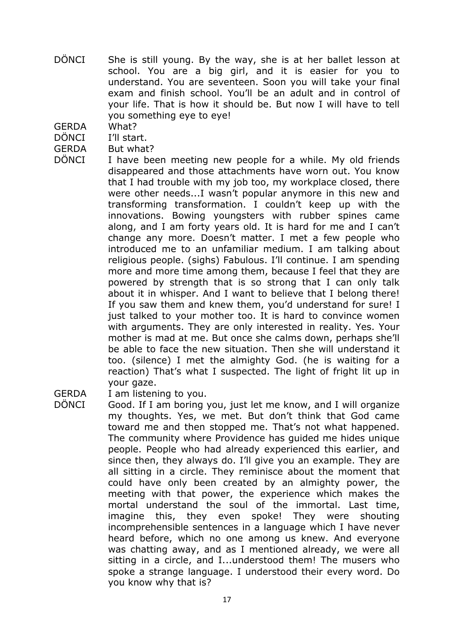- DÖNCI She is still young. By the way, she is at her ballet lesson at school. You are a big girl, and it is easier for you to understand. You are seventeen. Soon you will take your final exam and finish school. You'll be an adult and in control of your life. That is how it should be. But now I will have to tell you something eye to eye!
- GERDA What?
- DÖNCI I'll start.
- GERDA But what?
- DÖNCI I have been meeting new people for a while. My old friends disappeared and those attachments have worn out. You know that I had trouble with my job too, my workplace closed, there were other needs...I wasn't popular anymore in this new and transforming transformation. I couldn't keep up with the innovations. Bowing youngsters with rubber spines came along, and I am forty years old. It is hard for me and I can't change any more. Doesn't matter. I met a few people who introduced me to an unfamiliar medium. I am talking about religious people. (sighs) Fabulous. I'll continue. I am spending more and more time among them, because I feel that they are powered by strength that is so strong that I can only talk about it in whisper. And I want to believe that I belong there! If you saw them and knew them, you'd understand for sure! I just talked to your mother too. It is hard to convince women with arguments. They are only interested in reality. Yes. Your mother is mad at me. But once she calms down, perhaps she'll be able to face the new situation. Then she will understand it too. (silence) I met the almighty God. (he is waiting for a reaction) That's what I suspected. The light of fright lit up in your gaze.
- GERDA I am listening to you.
- DÖNCI Good. If I am boring you, just let me know, and I will organize my thoughts. Yes, we met. But don't think that God came toward me and then stopped me. That's not what happened. The community where Providence has guided me hides unique people. People who had already experienced this earlier, and since then, they always do. I'll give you an example. They are all sitting in a circle. They reminisce about the moment that could have only been created by an almighty power, the meeting with that power, the experience which makes the mortal understand the soul of the immortal. Last time, imagine this, they even spoke! They were shouting incomprehensible sentences in a language which I have never heard before, which no one among us knew. And everyone was chatting away, and as I mentioned already, we were all sitting in a circle, and I...understood them! The musers who spoke a strange language. I understood their every word. Do you know why that is?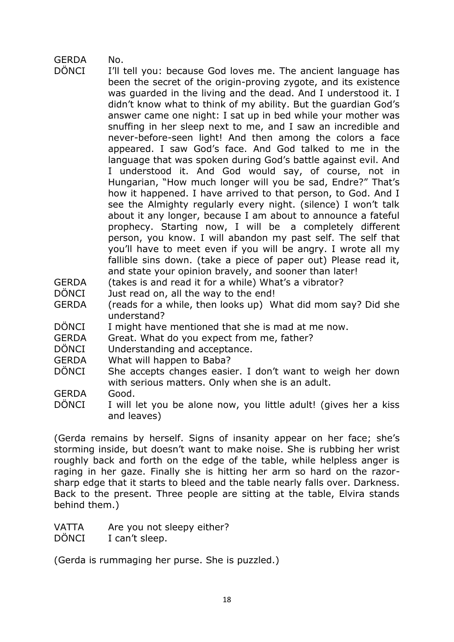# GERDA No.

- DÖNCI I'll tell you: because God loves me. The ancient language has been the secret of the origin-proving zygote, and its existence was guarded in the living and the dead. And I understood it. I didn't know what to think of my ability. But the guardian God's answer came one night: I sat up in bed while your mother was snuffing in her sleep next to me, and I saw an incredible and never-before-seen light! And then among the colors a face appeared. I saw God's face. And God talked to me in the language that was spoken during God's battle against evil. And I understood it. And God would say, of course, not in Hungarian, "How much longer will you be sad, Endre?" That's how it happened. I have arrived to that person, to God. And I see the Almighty regularly every night. (silence) I won't talk about it any longer, because I am about to announce a fateful prophecy. Starting now, I will be a completely different person, you know. I will abandon my past self. The self that you'll have to meet even if you will be angry. I wrote all my fallible sins down. (take a piece of paper out) Please read it, and state your opinion bravely, and sooner than later!
- GERDA (takes is and read it for a while) What's a vibrator?
- DÖNCI Just read on, all the way to the end!
- GERDA (reads for a while, then looks up) What did mom say? Did she understand?
- DÖNCI I might have mentioned that she is mad at me now.
- GERDA Great. What do you expect from me, father?
- DÖNCI Understanding and acceptance.
- GERDA What will happen to Baba?
- DÖNCI She accepts changes easier. I don't want to weigh her down with serious matters. Only when she is an adult.

GERDA Good.

DÖNCI I will let you be alone now, you little adult! (gives her a kiss and leaves)

(Gerda remains by herself. Signs of insanity appear on her face; she's storming inside, but doesn't want to make noise. She is rubbing her wrist roughly back and forth on the edge of the table, while helpless anger is raging in her gaze. Finally she is hitting her arm so hard on the razorsharp edge that it starts to bleed and the table nearly falls over. Darkness. Back to the present. Three people are sitting at the table, Elvira stands behind them.)

VATTA Are you not sleepy either?

DÖNCI I can't sleep.

(Gerda is rummaging her purse. She is puzzled.)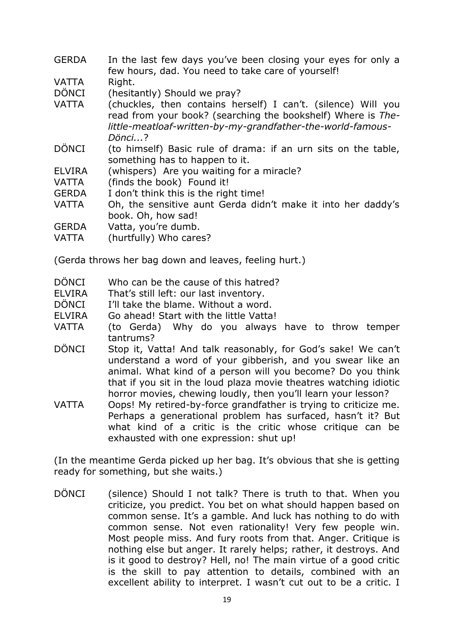- GERDA In the last few days you've been closing your eyes for only a few hours, dad. You need to take care of yourself! VATTA Right. DÖNCI (hesitantly) Should we pray? VATTA (chuckles, then contains herself) I can't. (silence) Will you read from your book? (searching the bookshelf) Where is *Thelittle-meatloaf-written-by-my-grandfather-the-world-famous-Dönci...*? DÖNCI (to himself) Basic rule of drama: if an urn sits on the table, something has to happen to it. ELVIRA (whispers) Are you waiting for a miracle? VATTA (finds the book) Found it! GERDA I don't think this is the right time! VATTA Oh, the sensitive aunt Gerda didn't make it into her daddy's book. Oh, how sad! GERDA Vatta, you're dumb.
- VATTA (hurtfully) Who cares?

(Gerda throws her bag down and leaves, feeling hurt.)

- DÖNCI Who can be the cause of this hatred?
- ELVIRA That's still left: our last inventory.
- DÖNCI I'll take the blame. Without a word.
- ELVIRA Go ahead! Start with the little Vatta!
- VATTA (to Gerda) Why do you always have to throw temper tantrums?
- DÖNCI Stop it, Vatta! And talk reasonably, for God's sake! We can't understand a word of your gibberish, and you swear like an animal. What kind of a person will you become? Do you think that if you sit in the loud plaza movie theatres watching idiotic horror movies, chewing loudly, then you'll learn your lesson?
- VATTA Oops! My retired-by-force grandfather is trying to criticize me. Perhaps a generational problem has surfaced, hasn't it? But what kind of a critic is the critic whose critique can be exhausted with one expression: shut up!

(In the meantime Gerda picked up her bag. It's obvious that she is getting ready for something, but she waits.)

DÖNCI (silence) Should I not talk? There is truth to that. When you criticize, you predict. You bet on what should happen based on common sense. It's a gamble. And luck has nothing to do with common sense. Not even rationality! Very few people win. Most people miss. And fury roots from that. Anger. Critique is nothing else but anger. It rarely helps; rather, it destroys. And is it good to destroy? Hell, no! The main virtue of a good critic is the skill to pay attention to details, combined with an excellent ability to interpret. I wasn't cut out to be a critic. I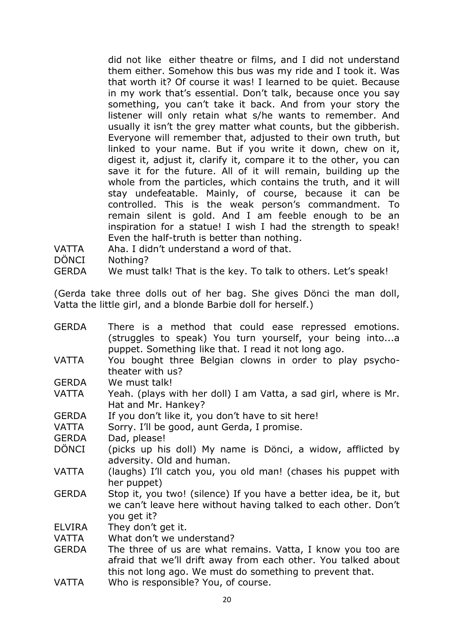did not like either theatre or films, and I did not understand them either. Somehow this bus was my ride and I took it. Was that worth it? Of course it was! I learned to be quiet. Because in my work that's essential. Don't talk, because once you say something, you can't take it back. And from your story the listener will only retain what s/he wants to remember. And usually it isn't the grey matter what counts, but the gibberish. Everyone will remember that, adjusted to their own truth, but linked to your name. But if you write it down, chew on it, digest it, adjust it, clarify it, compare it to the other, you can save it for the future. All of it will remain, building up the whole from the particles, which contains the truth, and it will stay undefeatable. Mainly, of course, because it can be controlled. This is the weak person's commandment. To remain silent is gold. And I am feeble enough to be an inspiration for a statue! I wish I had the strength to speak! Even the half-truth is better than nothing.

- VATTA Aha. I didn't understand a word of that.
- DÖNCI Nothing?
- GERDA We must talk! That is the key. To talk to others. Let's speak!

(Gerda take three dolls out of her bag. She gives Dönci the man doll, Vatta the little girl, and a blonde Barbie doll for herself.)

| <b>GERDA</b>  | There is a method that could ease repressed emotions.<br>(struggles to speak) You turn yourself, your being intoa |
|---------------|-------------------------------------------------------------------------------------------------------------------|
|               |                                                                                                                   |
|               | puppet. Something like that. I read it not long ago.                                                              |
| <b>VATTA</b>  | You bought three Belgian clowns in order to play psycho-                                                          |
|               | theater with us?                                                                                                  |
| <b>GERDA</b>  | We must talk!                                                                                                     |
| <b>VATTA</b>  | Yeah. (plays with her doll) I am Vatta, a sad girl, where is Mr.                                                  |
|               | Hat and Mr. Hankey?                                                                                               |
| <b>GERDA</b>  | If you don't like it, you don't have to sit here!                                                                 |
| VATTA         | Sorry. I'll be good, aunt Gerda, I promise.                                                                       |
| <b>GERDA</b>  | Dad, please!                                                                                                      |
| <b>DÖNCI</b>  | (picks up his doll) My name is Dönci, a widow, afflicted by                                                       |
|               | adversity. Old and human.                                                                                         |
| <b>VATTA</b>  | (laughs) I'll catch you, you old man! (chases his puppet with                                                     |
|               | her puppet)                                                                                                       |
| <b>GERDA</b>  | Stop it, you two! (silence) If you have a better idea, be it, but                                                 |
|               | we can't leave here without having talked to each other. Don't                                                    |
|               | you get it?                                                                                                       |
| <b>ELVIRA</b> | They don't get it.                                                                                                |
| VATTA         | What don't we understand?                                                                                         |
|               |                                                                                                                   |
| <b>GERDA</b>  | The three of us are what remains. Vatta, I know you too are                                                       |
|               | afraid that we'll drift away from each other. You talked about                                                    |
|               | this not long ago. We must do something to prevent that.                                                          |
| <b>VATTA</b>  | Who is responsible? You, of course.                                                                               |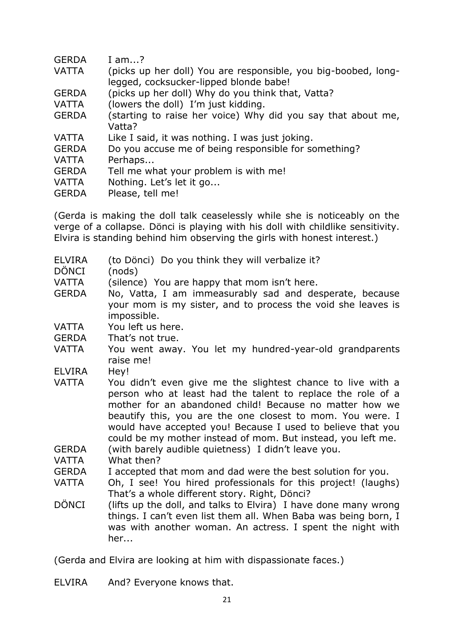| <b>GERDA</b> | I am?                                                                                                    |
|--------------|----------------------------------------------------------------------------------------------------------|
| <b>VATTA</b> | (picks up her doll) You are responsible, you big-boobed, long-<br>legged, cocksucker-lipped blonde babe! |
|              |                                                                                                          |
| <b>GERDA</b> | (picks up her doll) Why do you think that, Vatta?                                                        |
| VATTA        | (lowers the doll) I'm just kidding.                                                                      |
| <b>GERDA</b> | (starting to raise her voice) Why did you say that about me,<br>Vatta?                                   |
| <b>VATTA</b> | Like I said, it was nothing. I was just joking.                                                          |
| <b>GERDA</b> | Do you accuse me of being responsible for something?                                                     |
| <b>VATTA</b> | Perhaps                                                                                                  |
| <b>GERDA</b> | Tell me what your problem is with me!                                                                    |
| <b>VATTA</b> | Nothing. Let's let it go                                                                                 |
| <b>GERDA</b> | Please, tell me!                                                                                         |

(Gerda is making the doll talk ceaselessly while she is noticeably on the verge of a collapse. Dönci is playing with his doll with childlike sensitivity. Elvira is standing behind him observing the girls with honest interest.)

- ELVIRA (to Dönci) Do you think they will verbalize it?
- DÖNCI (nods)
- VATTA (silence) You are happy that mom isn't here.
- GERDA No, Vatta, I am immeasurably sad and desperate, because your mom is my sister, and to process the void she leaves is impossible.
- VATTA You left us here.
- GERDA That's not true.
- VATTA You went away. You let my hundred-year-old grandparents raise me!
- ELVIRA Hey!
- VATTA You didn't even give me the slightest chance to live with a person who at least had the talent to replace the role of a mother for an abandoned child! Because no matter how we beautify this, you are the one closest to mom. You were. I would have accepted you! Because I used to believe that you could be my mother instead of mom. But instead, you left me.
- GERDA (with barely audible quietness) I didn't leave you.
- VATTA What then?
- GERDA I accepted that mom and dad were the best solution for you.
- VATTA Oh, I see! You hired professionals for this project! (laughs) That's a whole different story. Right, Dönci?
- DÖNCI (lifts up the doll, and talks to Elvira) I have done many wrong things. I can't even list them all. When Baba was being born, I was with another woman. An actress. I spent the night with her...

(Gerda and Elvira are looking at him with dispassionate faces.)

ELVIRA And? Everyone knows that.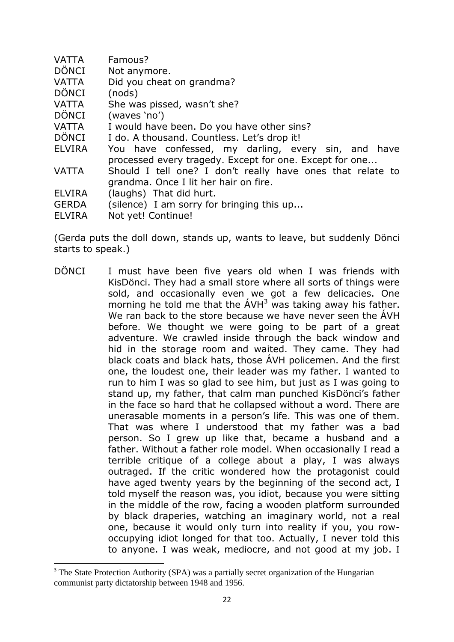- VATTA Famous?
- DÖNCI Not anymore.
- VATTA Did you cheat on grandma?
- DÖNCI (nods)

 $\overline{\phantom{a}}$ 

- VATTA She was pissed, wasn't she?
- DÖNCI (waves 'no')
- VATTA I would have been. Do you have other sins?
- DÖNCI I do. A thousand. Countless. Let's drop it!
- ELVIRA You have confessed, my darling, every sin, and have processed every tragedy. Except for one. Except for one...
- VATTA Should I tell one? I don't really have ones that relate to grandma. Once I lit her hair on fire.
- ELVIRA (laughs) That did hurt.
- GERDA (silence) I am sorry for bringing this up...
- ELVIRA Not yet! Continue!

(Gerda puts the doll down, stands up, wants to leave, but suddenly Dönci starts to speak.)

DÖNCI I must have been five years old when I was friends with KisDönci. They had a small store where all sorts of things were sold, and occasionally even we got a few delicacies. One morning he told me that the  $AVH<sup>3</sup>$  was taking away his father. We ran back to the store because we have never seen the ÁVH before. We thought we were going to be part of a great adventure. We crawled inside through the back window and hid in the storage room and waited. They came. They had black coats and black hats, those ÁVH policemen. And the first one, the loudest one, their leader was my father. I wanted to run to him I was so glad to see him, but just as I was going to stand up, my father, that calm man punched KisDönci's father in the face so hard that he collapsed without a word. There are unerasable moments in a person's life. This was one of them. That was where I understood that my father was a bad person. So I grew up like that, became a husband and a father. Without a father role model. When occasionally I read a terrible critique of a college about a play, I was always outraged. If the critic wondered how the protagonist could have aged twenty years by the beginning of the second act, I told myself the reason was, you idiot, because you were sitting in the middle of the row, facing a wooden platform surrounded by black draperies, watching an imaginary world, not a real one, because it would only turn into reality if you, you rowoccupying idiot longed for that too. Actually, I never told this to anyone. I was weak, mediocre, and not good at my job. I

<sup>&</sup>lt;sup>3</sup> The State Protection Authority (SPA) was a partially secret organization of the Hungarian communist party dictatorship between 1948 and 1956.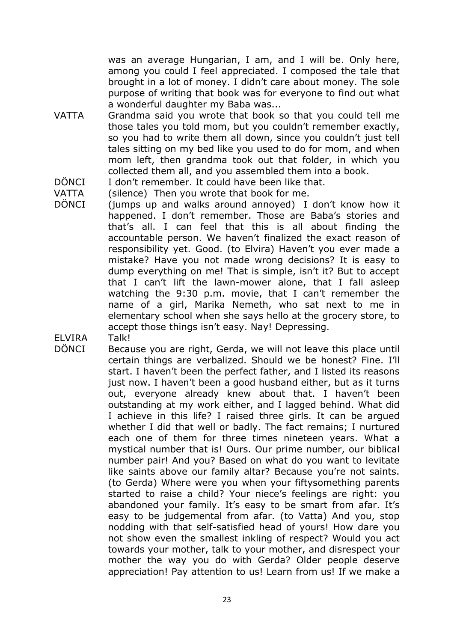was an average Hungarian, I am, and I will be. Only here, among you could I feel appreciated. I composed the tale that brought in a lot of money. I didn't care about money. The sole purpose of writing that book was for everyone to find out what a wonderful daughter my Baba was...

- VATTA Grandma said you wrote that book so that you could tell me those tales you told mom, but you couldn't remember exactly, so you had to write them all down, since you couldn't just tell tales sitting on my bed like you used to do for mom, and when mom left, then grandma took out that folder, in which you collected them all, and you assembled them into a book.
- DÖNCI I don't remember. It could have been like that.
- VATTA (silence) Then you wrote that book for me.
- DÖNCI (jumps up and walks around annoyed) I don't know how it happened. I don't remember. Those are Baba's stories and that's all. I can feel that this is all about finding the accountable person. We haven't finalized the exact reason of responsibility yet. Good. (to Elvira) Haven't you ever made a mistake? Have you not made wrong decisions? It is easy to dump everything on me! That is simple, isn't it? But to accept that I can't lift the lawn-mower alone, that I fall asleep watching the 9:30 p.m. movie, that I can't remember the name of a girl, Marika Nemeth, who sat next to me in elementary school when she says hello at the grocery store, to accept those things isn't easy. Nay! Depressing.
- ELVIRA Talk!
- DÖNCI Because you are right, Gerda, we will not leave this place until certain things are verbalized. Should we be honest? Fine. I'll start. I haven't been the perfect father, and I listed its reasons just now. I haven't been a good husband either, but as it turns out, everyone already knew about that. I haven't been outstanding at my work either, and I lagged behind. What did I achieve in this life? I raised three girls. It can be argued whether I did that well or badly. The fact remains; I nurtured each one of them for three times nineteen years. What a mystical number that is! Ours. Our prime number, our biblical number pair! And you? Based on what do you want to levitate like saints above our family altar? Because you're not saints. (to Gerda) Where were you when your fiftysomething parents started to raise a child? Your niece's feelings are right: you abandoned your family. It's easy to be smart from afar. It's easy to be judgemental from afar. (to Vatta) And you, stop nodding with that self-satisfied head of yours! How dare you not show even the smallest inkling of respect? Would you act towards your mother, talk to your mother, and disrespect your mother the way you do with Gerda? Older people deserve appreciation! Pay attention to us! Learn from us! If we make a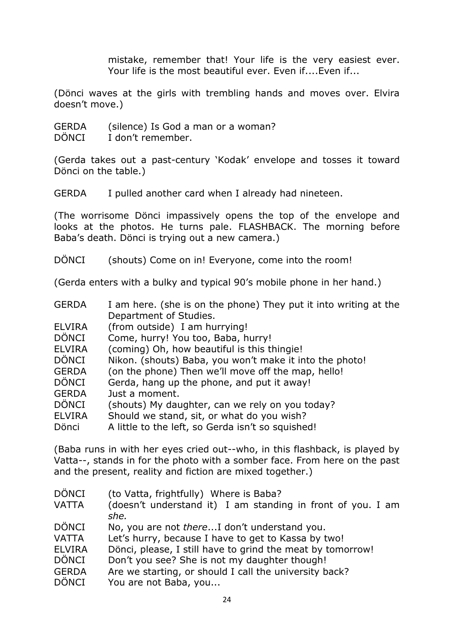mistake, remember that! Your life is the very easiest ever. Your life is the most beautiful ever. Even if....Even if...

(Dönci waves at the girls with trembling hands and moves over. Elvira doesn't move.)

- GERDA (silence) Is God a man or a woman?
- DÖNCI I don't remember.

(Gerda takes out a past-century 'Kodak' envelope and tosses it toward Dönci on the table.)

GERDA I pulled another card when I already had nineteen.

(The worrisome Dönci impassively opens the top of the envelope and looks at the photos. He turns pale. FLASHBACK. The morning before Baba's death. Dönci is trying out a new camera.)

DÖNCI (shouts) Come on in! Everyone, come into the room!

(Gerda enters with a bulky and typical 90's mobile phone in her hand.)

| <b>GERDA</b> | I am here. (she is on the phone) They put it into writing at the |
|--------------|------------------------------------------------------------------|
|              | Department of Studies.                                           |

- ELVIRA (from outside) I am hurrying!
- DÖNCI Come, hurry! You too, Baba, hurry!
- ELVIRA (coming) Oh, how beautiful is this thingie!
- DÖNCI Nikon. (shouts) Baba, you won't make it into the photo!
- GERDA (on the phone) Then we'll move off the map, hello!
- DÖNCI Gerda, hang up the phone, and put it away!
- GERDA Just a moment.
- DÖNCI (shouts) My daughter, can we rely on you today?
- ELVIRA Should we stand, sit, or what do you wish?
- Dönci A little to the left, so Gerda isn't so squished!

(Baba runs in with her eyes cried out--who, in this flashback, is played by Vatta--, stands in for the photo with a somber face. From here on the past and the present, reality and fiction are mixed together.)

- DÖNCI (to Vatta, frightfully) Where is Baba? VATTA (doesn't understand it) I am standing in front of you. I am *she.* DÖNCI No, you are not *there*...I don't understand you. VATTA Let's hurry, because I have to get to Kassa by two! ELVIRA Dönci, please, I still have to grind the meat by tomorrow! DÖNCI Don't you see? She is not my daughter though! GERDA Are we starting, or should I call the university back?
- DÖNCI You are not Baba, you...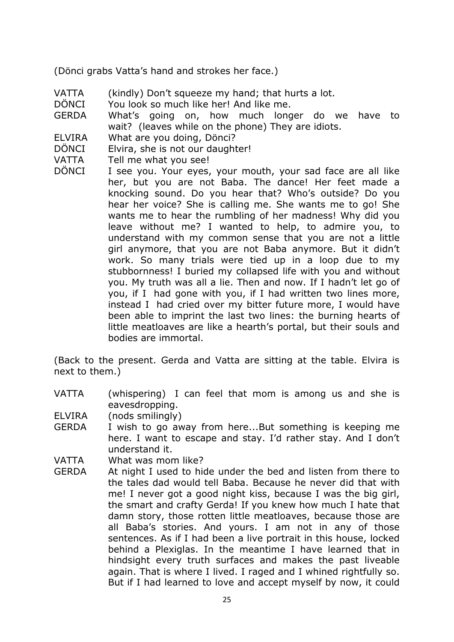(Dönci grabs Vatta's hand and strokes her face.)

- VATTA (kindly) Don't squeeze my hand; that hurts a lot.
- DÖNCI You look so much like her! And like me.
- GERDA What's going on, how much longer do we have to wait? (leaves while on the phone) They are idiots.
- ELVIRA What are you doing, Dönci?
- DÖNCI Elvira, she is not our daughter!
- VATTA Tell me what you see!
- DÖNCI I see you. Your eyes, your mouth, your sad face are all like her, but you are not Baba. The dance! Her feet made a knocking sound. Do you hear that? Who's outside? Do you hear her voice? She is calling me. She wants me to go! She wants me to hear the rumbling of her madness! Why did you leave without me? I wanted to help, to admire you, to understand with my common sense that you are not a little girl anymore, that you are not Baba anymore. But it didn't work. So many trials were tied up in a loop due to my stubbornness! I buried my collapsed life with you and without you. My truth was all a lie. Then and now. If I hadn't let go of you, if I had gone with you, if I had written two lines more, instead I had cried over my bitter future more, I would have been able to imprint the last two lines: the burning hearts of little meatloaves are like a hearth's portal, but their souls and bodies are immortal.

(Back to the present. Gerda and Vatta are sitting at the table. Elvira is next to them.)

VATTA (whispering) I can feel that mom is among us and she is eavesdropping.

ELVIRA (nods smilingly)

- GERDA I wish to go away from here...But something is keeping me here. I want to escape and stay. I'd rather stay. And I don't understand it.
- VATTA What was mom like?
- GERDA At night I used to hide under the bed and listen from there to the tales dad would tell Baba. Because he never did that with me! I never got a good night kiss, because I was the big girl, the smart and crafty Gerda! If you knew how much I hate that damn story, those rotten little meatloaves, because those are all Baba's stories. And yours. I am not in any of those sentences. As if I had been a live portrait in this house, locked behind a Plexiglas. In the meantime I have learned that in hindsight every truth surfaces and makes the past liveable again. That is where I lived. I raged and I whined rightfully so. But if I had learned to love and accept myself by now, it could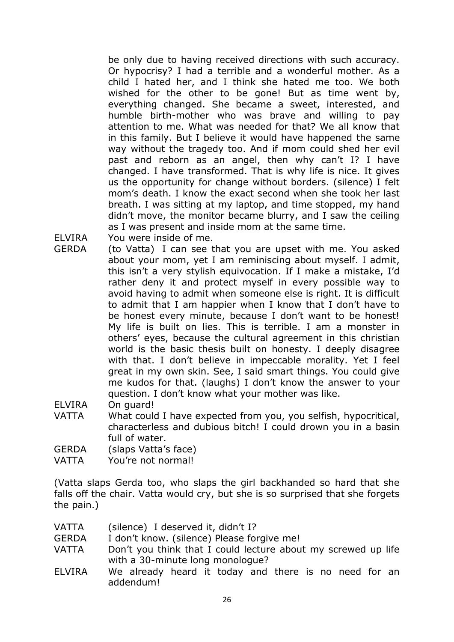be only due to having received directions with such accuracy. Or hypocrisy? I had a terrible and a wonderful mother. As a child I hated her, and I think she hated me too. We both wished for the other to be gone! But as time went by, everything changed. She became a sweet, interested, and humble birth-mother who was brave and willing to pay attention to me. What was needed for that? We all know that in this family. But I believe it would have happened the same way without the tragedy too. And if mom could shed her evil past and reborn as an angel, then why can't I? I have changed. I have transformed. That is why life is nice. It gives us the opportunity for change without borders. (silence) I felt mom's death. I know the exact second when she took her last breath. I was sitting at my laptop, and time stopped, my hand didn't move, the monitor became blurry, and I saw the ceiling as I was present and inside mom at the same time.

ELVIRA You were inside of me.

GERDA (to Vatta) I can see that you are upset with me. You asked about your mom, yet I am reminiscing about myself. I admit, this isn't a very stylish equivocation. If I make a mistake, I'd rather deny it and protect myself in every possible way to avoid having to admit when someone else is right. It is difficult to admit that I am happier when I know that I don't have to be honest every minute, because I don't want to be honest! My life is built on lies. This is terrible. I am a monster in others' eyes, because the cultural agreement in this christian world is the basic thesis built on honesty. I deeply disagree with that. I don't believe in impeccable morality. Yet I feel great in my own skin. See, I said smart things. You could give me kudos for that. (laughs) I don't know the answer to your question. I don't know what your mother was like.

ELVIRA On guard!

- VATTA What could I have expected from you, you selfish, hypocritical, characterless and dubious bitch! I could drown you in a basin full of water.
- GERDA (slaps Vatta's face)
- VATTA You're not normal!

(Vatta slaps Gerda too, who slaps the girl backhanded so hard that she falls off the chair. Vatta would cry, but she is so surprised that she forgets the pain.)

- VATTA (silence) I deserved it, didn't I?
- GERDA I don't know. (silence) Please forgive me!
- VATTA Don't you think that I could lecture about my screwed up life with a 30-minute long monologue?
- ELVIRA We already heard it today and there is no need for an addendum!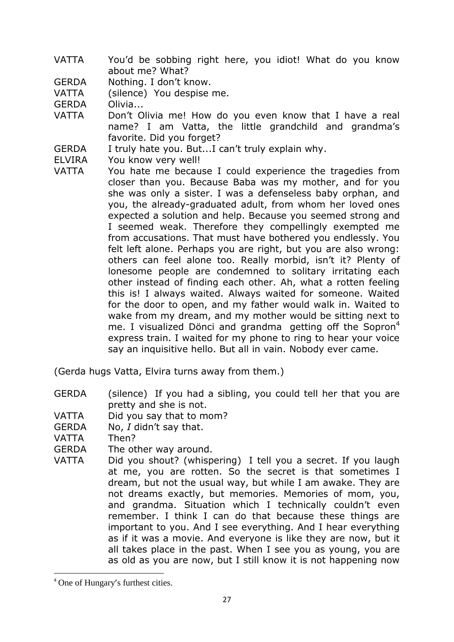- VATTA You'd be sobbing right here, you idiot! What do you know about me? What?
- GERDA Nothing. I don't know.

VATTA (silence) You despise me.

GERDA Olivia...

- VATTA Don't Olivia me! How do you even know that I have a real name? I am Vatta, the little grandchild and grandma's favorite. Did you forget?
- GERDA I truly hate you. But...I can't truly explain why.
- ELVIRA You know very well!
- VATTA You hate me because I could experience the tragedies from closer than you. Because Baba was my mother, and for you she was only a sister. I was a defenseless baby orphan, and you, the already-graduated adult, from whom her loved ones expected a solution and help. Because you seemed strong and I seemed weak. Therefore they compellingly exempted me from accusations. That must have bothered you endlessly. You felt left alone. Perhaps you are right, but you are also wrong: others can feel alone too. Really morbid, isn't it? Plenty of lonesome people are condemned to solitary irritating each other instead of finding each other. Ah, what a rotten feeling this is! I always waited. Always waited for someone. Waited for the door to open, and my father would walk in. Waited to wake from my dream, and my mother would be sitting next to me. I visualized Dönci and grandma getting off the Sopron<sup>4</sup> express train. I waited for my phone to ring to hear your voice say an inquisitive hello. But all in vain. Nobody ever came.

(Gerda hugs Vatta, Elvira turns away from them.)

- GERDA (silence) If you had a sibling, you could tell her that you are pretty and she is not.
- VATTA Did you say that to mom?
- GERDA No, *I* didn't say that.

VATTA Then?

- GERDA The other way around.
- VATTA Did you shout? (whispering) I tell you a secret. If you laugh at me, you are rotten. So the secret is that sometimes I dream, but not the usual way, but while I am awake. They are not dreams exactly, but memories. Memories of mom, you, and grandma. Situation which I technically couldn't even remember. I think I can do that because these things are important to you. And I see everything. And I hear everything as if it was a movie. And everyone is like they are now, but it all takes place in the past. When I see you as young, you are as old as you are now, but I still know it is not happening now

**.** 

<sup>4</sup> One of Hungary's furthest cities.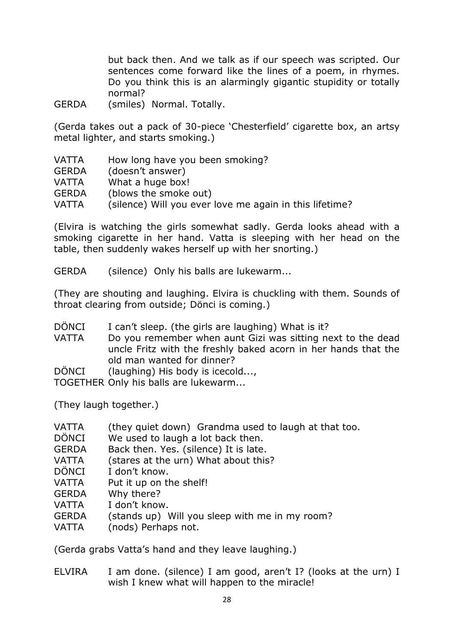but back then. And we talk as if our speech was scripted. Our sentences come forward like the lines of a poem, in rhymes. Do you think this is an alarmingly gigantic stupidity or totally normal?

GERDA (smiles) Normal. Totally.

(Gerda takes out a pack of 30-piece 'Chesterfield' cigarette box, an artsy metal lighter, and starts smoking.)

| <b>VATTA</b> | How long have you been smoking?                         |
|--------------|---------------------------------------------------------|
| <b>GERDA</b> | (doesn't answer)                                        |
| VATTA        | What a huge box!                                        |
| <b>GERDA</b> | (blows the smoke out)                                   |
| VATTA        | (silence) Will you ever love me again in this lifetime? |
|              |                                                         |

(Elvira is watching the girls somewhat sadly. Gerda looks ahead with a smoking cigarette in her hand. Vatta is sleeping with her head on the table, then suddenly wakes herself up with her snorting.)

GERDA (silence) Only his balls are lukewarm...

(They are shouting and laughing. Elvira is chuckling with them. Sounds of throat clearing from outside; Dönci is coming.)

- DÖNCI I can't sleep. (the girls are laughing) What is it?
- VATTA Do you remember when aunt Gizi was sitting next to the dead uncle Fritz with the freshly baked acorn in her hands that the old man wanted for dinner?
- DÖNCI (laughing) His body is icecold...,

TOGETHER Only his balls are lukewarm...

(They laugh together.)

- VATTA (they quiet down) Grandma used to laugh at that too.
- DÖNCI We used to laugh a lot back then.
- GERDA Back then. Yes. (silence) It is late.
- VATTA (stares at the urn) What about this?
- DÖNCI I don't know.
- VATTA Put it up on the shelf!
- GERDA Why there?
- VATTA I don't know.
- GERDA (stands up) Will you sleep with me in my room?
- VATTA (nods) Perhaps not.

(Gerda grabs Vatta's hand and they leave laughing.)

ELVIRA I am done. (silence) I am good, aren't I? (looks at the urn) I wish I knew what will happen to the miracle!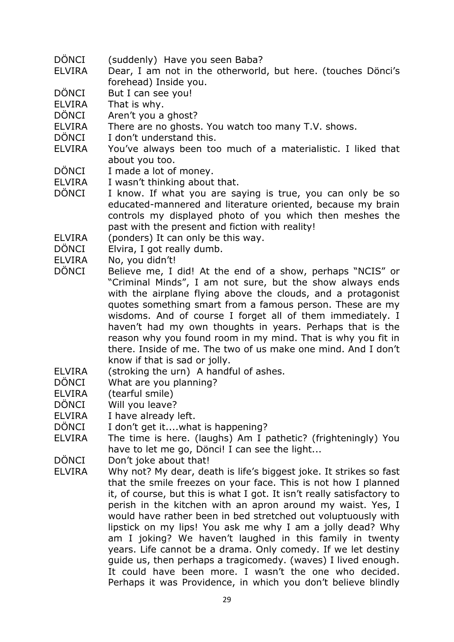- DÖNCI (suddenly) Have you seen Baba?
- ELVIRA Dear, I am not in the otherworld, but here. (touches Dönci's forehead) Inside you.

DÖNCI But I can see you!

ELVIRA That is why.

- DÖNCI Aren't you a ghost?
- ELVIRA There are no ghosts. You watch too many T.V. shows.
- DÖNCI I don't understand this.
- ELVIRA You've always been too much of a materialistic. I liked that about you too.
- DÖNCI I made a lot of money.
- ELVIRA I wasn't thinking about that.
- DÖNCI I know. If what you are saying is true, you can only be so educated-mannered and literature oriented, because my brain controls my displayed photo of you which then meshes the past with the present and fiction with reality!
- ELVIRA (ponders) It can only be this way.
- DÖNCI Elvira, I got really dumb.
- ELVIRA No, you didn't!
- DÖNCI Believe me, I did! At the end of a show, perhaps "NCIS" or "Criminal Minds", I am not sure, but the show always ends with the airplane flying above the clouds, and a protagonist quotes something smart from a famous person. These are my wisdoms. And of course I forget all of them immediately. I haven't had my own thoughts in years. Perhaps that is the reason why you found room in my mind. That is why you fit in there. Inside of me. The two of us make one mind. And I don't know if that is sad or jolly.
- ELVIRA (stroking the urn) A handful of ashes.
- DÖNCI What are you planning?
- ELVIRA (tearful smile)
- DÖNCI Will you leave?
- ELVIRA I have already left.
- DÖNCI I don't get it....what is happening?
- ELVIRA The time is here. (laughs) Am I pathetic? (frighteningly) You have to let me go, Dönci! I can see the light...
- DÖNCI Don't joke about that!
- ELVIRA Why not? My dear, death is life's biggest joke. It strikes so fast that the smile freezes on your face. This is not how I planned it, of course, but this is what I got. It isn't really satisfactory to perish in the kitchen with an apron around my waist. Yes, I would have rather been in bed stretched out voluptuously with lipstick on my lips! You ask me why I am a jolly dead? Why am I joking? We haven't laughed in this family in twenty years. Life cannot be a drama. Only comedy. If we let destiny guide us, then perhaps a tragicomedy. (waves) I lived enough. It could have been more. I wasn't the one who decided. Perhaps it was Providence, in which you don't believe blindly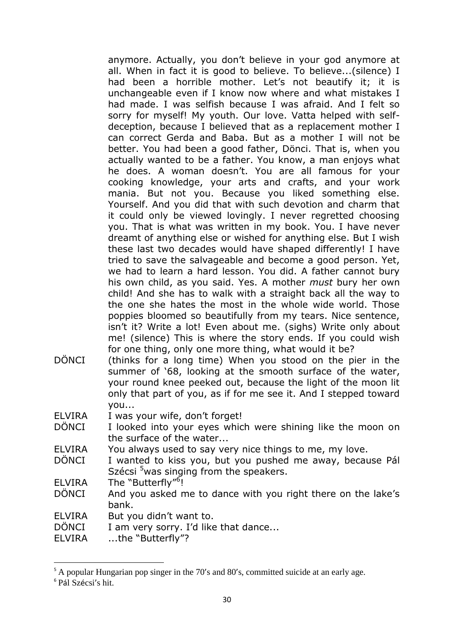anymore. Actually, you don't believe in your god anymore at all. When in fact it is good to believe. To believe...(silence) I had been a horrible mother. Let's not beautify it; it is unchangeable even if I know now where and what mistakes I had made. I was selfish because I was afraid. And I felt so sorry for myself! My youth. Our love. Vatta helped with selfdeception, because I believed that as a replacement mother I can correct Gerda and Baba. But as a mother I will not be better. You had been a good father, Dönci. That is, when you actually wanted to be a father. You know, a man enjoys what he does. A woman doesn't. You are all famous for your cooking knowledge, your arts and crafts, and your work mania. But not you. Because you liked something else. Yourself. And you did that with such devotion and charm that it could only be viewed lovingly. I never regretted choosing you. That is what was written in my book. You. I have never dreamt of anything else or wished for anything else. But I wish these last two decades would have shaped differently! I have tried to save the salvageable and become a good person. Yet, we had to learn a hard lesson. You did. A father cannot bury his own child, as you said. Yes. A mother *must* bury her own child! And she has to walk with a straight back all the way to the one she hates the most in the whole wide world. Those poppies bloomed so beautifully from my tears. Nice sentence, isn't it? Write a lot! Even about me. (sighs) Write only about me! (silence) This is where the story ends. If you could wish for one thing, only one more thing, what would it be?

DÖNCI (thinks for a long time) When you stood on the pier in the summer of '68, looking at the smooth surface of the water, your round knee peeked out, because the light of the moon lit only that part of you, as if for me see it. And I stepped toward you...

ELVIRA I was your wife, don't forget!

- DÖNCI I looked into your eyes which were shining like the moon on the surface of the water...
- ELVIRA You always used to say very nice things to me, my love.
- DÖNCI I wanted to kiss you, but you pushed me away, because Pál Szécsi <sup>5</sup>was singing from the speakers.
- ELVIRA The "Butterfly"<sup>6</sup>!
- DÖNCI And you asked me to dance with you right there on the lake's bank.
- ELVIRA But you didn't want to.
- DÖNCI I am very sorry. I'd like that dance...
- ELVIRA ...the "Butterfly"?

**.** 

<sup>&</sup>lt;sup>5</sup> A popular Hungarian pop singer in the 70's and 80's, committed suicide at an early age.

<sup>6</sup> Pál Szécsi's hit.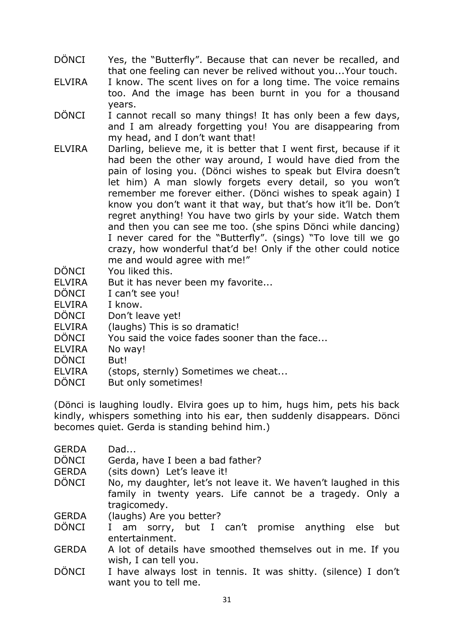- DÖNCI Yes, the "Butterfly". Because that can never be recalled, and that one feeling can never be relived without you...Your touch.
- ELVIRA I know. The scent lives on for a long time. The voice remains too. And the image has been burnt in you for a thousand years.
- DÖNCI I cannot recall so many things! It has only been a few days, and I am already forgetting you! You are disappearing from my head, and I don't want that!
- ELVIRA Darling, believe me, it is better that I went first, because if it had been the other way around, I would have died from the pain of losing you. (Dönci wishes to speak but Elvira doesn't let him) A man slowly forgets every detail, so you won't remember me forever either. (Dönci wishes to speak again) I know you don't want it that way, but that's how it'll be. Don't regret anything! You have two girls by your side. Watch them and then you can see me too. (she spins Dönci while dancing) I never cared for the "Butterfly". (sings) "To love till we go crazy, how wonderful that'd be! Only if the other could notice me and would agree with me!"
- DÖNCI You liked this.
- ELVIRA But it has never been my favorite...
- DÖNCI I can't see you!
- ELVIRA I know.
- DÖNCI Don't leave yet!
- ELVIRA (laughs) This is so dramatic!
- DÖNCI You said the voice fades sooner than the face...
- ELVIRA No way!
- DÖNCI But!
- ELVIRA (stops, sternly) Sometimes we cheat...
- DÖNCI But only sometimes!

(Dönci is laughing loudly. Elvira goes up to him, hugs him, pets his back kindly, whispers something into his ear, then suddenly disappears. Dönci becomes quiet. Gerda is standing behind him.)

| Dad |
|-----|
|     |
|     |

- DÖNCI Gerda, have I been a bad father?
- GERDA (sits down) Let's leave it!
- DÖNCI No, my daughter, let's not leave it. We haven't laughed in this family in twenty years. Life cannot be a tragedy. Only a tragicomedy.
- GERDA (laughs) Are you better?
- DÖNCI I am sorry, but I can't promise anything else but entertainment.
- GERDA A lot of details have smoothed themselves out in me. If you wish, I can tell you.
- DÖNCI I have always lost in tennis. It was shitty. (silence) I don't want you to tell me.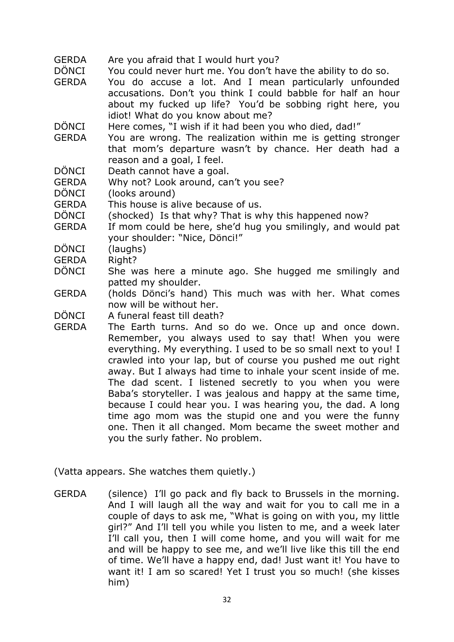- GERDA Are you afraid that I would hurt you?
- DÖNCI You could never hurt me. You don't have the ability to do so.
- GERDA You do accuse a lot. And I mean particularly unfounded accusations. Don't you think I could babble for half an hour about my fucked up life? You'd be sobbing right here, you idiot! What do you know about me?

DÖNCI Here comes, "I wish if it had been you who died, dad!"

- GERDA You are wrong. The realization within me is getting stronger that mom's departure wasn't by chance. Her death had a reason and a goal, I feel.
- DÖNCI Death cannot have a goal.
- GERDA Why not? Look around, can't you see?
- DÖNCI (looks around)
- GERDA This house is alive because of us.
- DÖNCI (shocked) Is that why? That is why this happened now?
- GERDA If mom could be here, she'd hug you smilingly, and would pat your shoulder: "Nice, Dönci!"
- DÖNCI (laughs)
- GERDA Right?
- DÖNCI She was here a minute ago. She hugged me smilingly and patted my shoulder.
- GERDA (holds Dönci's hand) This much was with her. What comes now will be without her.
- DÖNCI A funeral feast till death?
- GERDA The Earth turns. And so do we. Once up and once down. Remember, you always used to say that! When you were everything. My everything. I used to be so small next to you! I crawled into your lap, but of course you pushed me out right away. But I always had time to inhale your scent inside of me. The dad scent. I listened secretly to you when you were Baba's storyteller. I was jealous and happy at the same time, because I could hear you. I was hearing you, the dad. A long time ago mom was the stupid one and you were the funny one. Then it all changed. Mom became the sweet mother and you the surly father. No problem.

(Vatta appears. She watches them quietly.)

GERDA (silence) I'll go pack and fly back to Brussels in the morning. And I will laugh all the way and wait for you to call me in a couple of days to ask me, "What is going on with you, my little girl?" And I'll tell you while you listen to me, and a week later I'll call you, then I will come home, and you will wait for me and will be happy to see me, and we'll live like this till the end of time. We'll have a happy end, dad! Just want it! You have to want it! I am so scared! Yet I trust you so much! (she kisses him)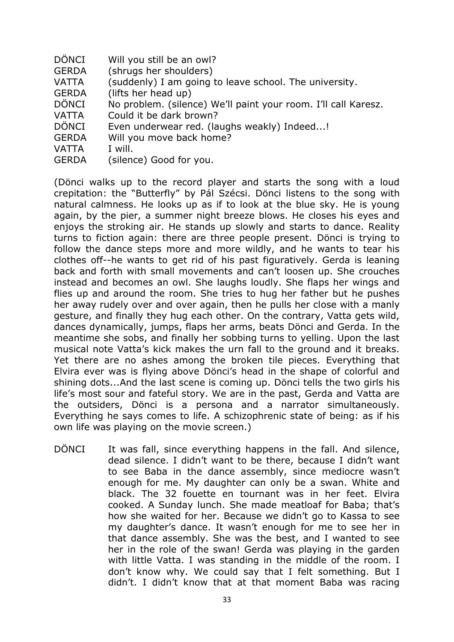- DÖNCI Will you still be an owl?
- GERDA (shrugs her shoulders)
- VATTA (suddenly) I am going to leave school. The university.
- GERDA (lifts her head up)
- DÖNCI No problem. (silence) We'll paint your room. I'll call Karesz.
- VATTA Could it be dark brown?
- DÖNCI Even underwear red. (laughs weakly) Indeed...!
- GERDA Will you move back home?
- VATTA I will.
- GERDA (silence) Good for you.

(Dönci walks up to the record player and starts the song with a loud crepitation: the "Butterfly" by Pál Szécsi. Dönci listens to the song with natural calmness. He looks up as if to look at the blue sky. He is young again, by the pier, a summer night breeze blows. He closes his eyes and enjoys the stroking air. He stands up slowly and starts to dance. Reality turns to fiction again: there are three people present. Dönci is trying to follow the dance steps more and more wildly, and he wants to tear his clothes off--he wants to get rid of his past figuratively. Gerda is leaning back and forth with small movements and can't loosen up. She crouches instead and becomes an owl. She laughs loudly. She flaps her wings and flies up and around the room. She tries to hug her father but he pushes her away rudely over and over again, then he pulls her close with a manly gesture, and finally they hug each other. On the contrary, Vatta gets wild, dances dynamically, jumps, flaps her arms, beats Dönci and Gerda. In the meantime she sobs, and finally her sobbing turns to yelling. Upon the last musical note Vatta's kick makes the urn fall to the ground and it breaks. Yet there are no ashes among the broken tile pieces. Everything that Elvira ever was is flying above Dönci's head in the shape of colorful and shining dots...And the last scene is coming up. Dönci tells the two girls his life's most sour and fateful story. We are in the past, Gerda and Vatta are the outsiders, Dönci is a persona and a narrator simultaneously. Everything he says comes to life. A schizophrenic state of being: as if his own life was playing on the movie screen.)

DÖNCI It was fall, since everything happens in the fall. And silence, dead silence. I didn't want to be there, because I didn't want to see Baba in the dance assembly, since mediocre wasn't enough for me. My daughter can only be a swan. White and black. The 32 fouette en tournant was in her feet. Elvira cooked. A Sunday lunch. She made meatloaf for Baba; that's how she waited for her. Because we didn't go to Kassa to see my daughter's dance. It wasn't enough for me to see her in that dance assembly. She was the best, and I wanted to see her in the role of the swan! Gerda was playing in the garden with little Vatta. I was standing in the middle of the room. I don't know why. We could say that I felt something. But I didn't. I didn't know that at that moment Baba was racing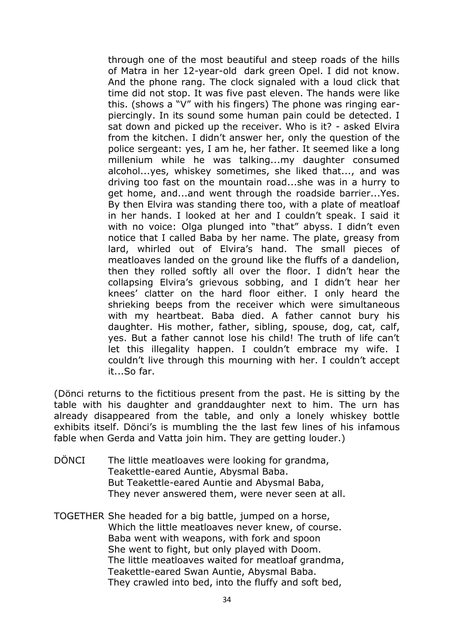through one of the most beautiful and steep roads of the hills of Matra in her 12-year-old dark green Opel. I did not know. And the phone rang. The clock signaled with a loud click that time did not stop. It was five past eleven. The hands were like this. (shows a "V" with his fingers) The phone was ringing earpiercingly. In its sound some human pain could be detected. I sat down and picked up the receiver. Who is it? - asked Elvira from the kitchen. I didn't answer her, only the question of the police sergeant: yes, I am he, her father. It seemed like a long millenium while he was talking...my daughter consumed alcohol...yes, whiskey sometimes, she liked that..., and was driving too fast on the mountain road...she was in a hurry to get home, and...and went through the roadside barrier...Yes. By then Elvira was standing there too, with a plate of meatloaf in her hands. I looked at her and I couldn't speak. I said it with no voice: Olga plunged into "that" abyss. I didn't even notice that I called Baba by her name. The plate, greasy from lard, whirled out of Elvira's hand. The small pieces of meatloaves landed on the ground like the fluffs of a dandelion, then they rolled softly all over the floor. I didn't hear the collapsing Elvira's grievous sobbing, and I didn't hear her knees' clatter on the hard floor either. I only heard the shrieking beeps from the receiver which were simultaneous with my heartbeat. Baba died. A father cannot bury his daughter. His mother, father, sibling, spouse, dog, cat, calf, yes. But a father cannot lose his child! The truth of life can't let this illegality happen. I couldn't embrace my wife. I couldn't live through this mourning with her. I couldn't accept it...So far.

(Dönci returns to the fictitious present from the past. He is sitting by the table with his daughter and granddaughter next to him. The urn has already disappeared from the table, and only a lonely whiskey bottle exhibits itself. Dönci's is mumbling the the last few lines of his infamous fable when Gerda and Vatta join him. They are getting louder.)

- DÖNCI The little meatloaves were looking for grandma, Teakettle-eared Auntie, Abysmal Baba. But Teakettle-eared Auntie and Abysmal Baba, They never answered them, were never seen at all.
- TOGETHER She headed for a big battle, jumped on a horse, Which the little meatloaves never knew, of course. Baba went with weapons, with fork and spoon She went to fight, but only played with Doom. The little meatloaves waited for meatloaf grandma, Teakettle-eared Swan Auntie, Abysmal Baba. They crawled into bed, into the fluffy and soft bed,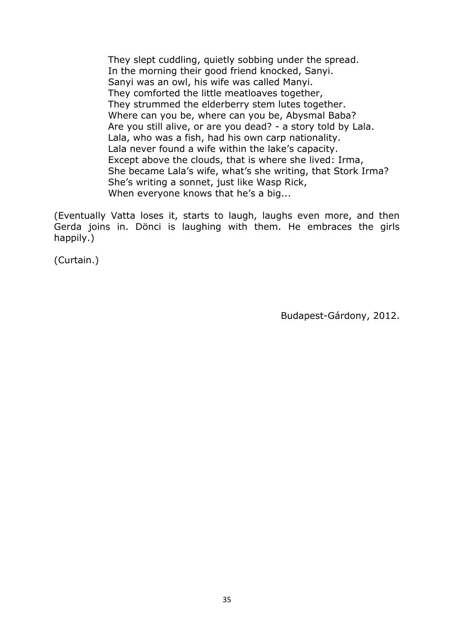They slept cuddling, quietly sobbing under the spread. In the morning their good friend knocked, Sanyi. Sanyi was an owl, his wife was called Manyi. They comforted the little meatloaves together, They strummed the elderberry stem lutes together. Where can you be, where can you be, Abysmal Baba? Are you still alive, or are you dead? - a story told by Lala. Lala, who was a fish, had his own carp nationality. Lala never found a wife within the lake's capacity. Except above the clouds, that is where she lived: Irma, She became Lala's wife, what's she writing, that Stork Irma? She's writing a sonnet, just like Wasp Rick, When everyone knows that he's a big...

(Eventually Vatta loses it, starts to laugh, laughs even more, and then Gerda joins in. Dönci is laughing with them. He embraces the girls happily.)

(Curtain.)

Budapest-Gárdony, 2012.